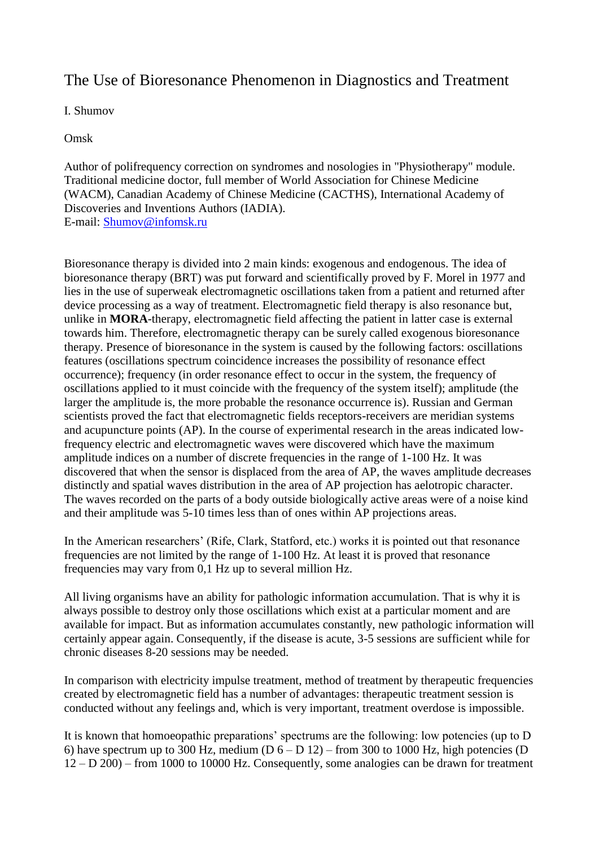## The Use of Bioresonance Phenomenon in Diagnostics and Treatment

I. Shumov

Omsk

Аuthor of polifrequency correction on syndromes and nosologies in "Physiotherapy" module. Traditional medicine doctor, full member of World Association for Chinese Medicine (WACM), Canadian Academy of Chinese Medicine (CACTHS), International Academy of Discoveries and Inventions Authors (IADIA). E-mail: [Shumov@infomsk.ru](mailto:Shumov@infomsk.ru)

Bioresonance therapy is divided into 2 main kinds: exogenous and endogenous. The idea of bioresonance therapy (BRT) was put forward and scientifically proved by F. Morel in 1977 and lies in the use of superweak electromagnetic oscillations taken from a patient and returned after device processing as a way of treatment. Electromagnetic field therapy is also resonance but, unlike in **MORA**-therapy, electromagnetic field affecting the patient in latter case is external towards him. Therefore, electromagnetic therapy can be surely called exogenous bioresonance therapy. Presence of bioresonance in the system is caused by the following factors: oscillations features (oscillations spectrum coincidence increases the possibility of resonance effect occurrence); frequency (in order resonance effect to occur in the system, the frequency of oscillations applied to it must coincide with the frequency of the system itself); amplitude (the larger the amplitude is, the more probable the resonance occurrence is). Russian and German scientists proved the fact that electromagnetic fields receptors-receivers are meridian systems and acupuncture points (AP). In the course of experimental research in the areas indicated lowfrequency electric and electromagnetic waves were discovered which have the maximum amplitude indices on a number of discrete frequencies in the range of 1-100 Hz. It was discovered that when the sensor is displaced from the area of AP, the waves amplitude decreases distinctly and spatial waves distribution in the area of AP projection has aelotropic character. The waves recorded on the parts of a body outside biologically active areas were of a noise kind and their amplitude was 5-10 times less than of ones within AP projections areas.

In the American researchers' (Rife, Clark, Statford, etc.) works it is pointed out that resonance frequencies are not limited by the range of 1-100 Hz. At least it is proved that resonance frequencies may vary from 0,1 Hz up to several million Hz.

All living organisms have an ability for pathologic information accumulation. That is why it is always possible to destroy only those oscillations which exist at a particular moment and are available for impact. But as information accumulates constantly, new pathologic information will certainly appear again. Consequently, if the disease is acute, 3-5 sessions are sufficient while for chronic diseases 8-20 sessions may be needed.

In comparison with electricity impulse treatment, method of treatment by therapeutic frequencies created by electromagnetic field has a number of advantages: therapeutic treatment session is conducted without any feelings and, which is very important, treatment overdose is impossible.

It is known that homoeopathic preparations' spectrums are the following: low potencies (up to D 6) have spectrum up to 300 Hz, medium ( $D_6 - D_1$  12) – from 300 to 1000 Hz, high potencies (D 12 – D 200) – from 1000 to 10000 Hz. Consequently, some analogies can be drawn for treatment